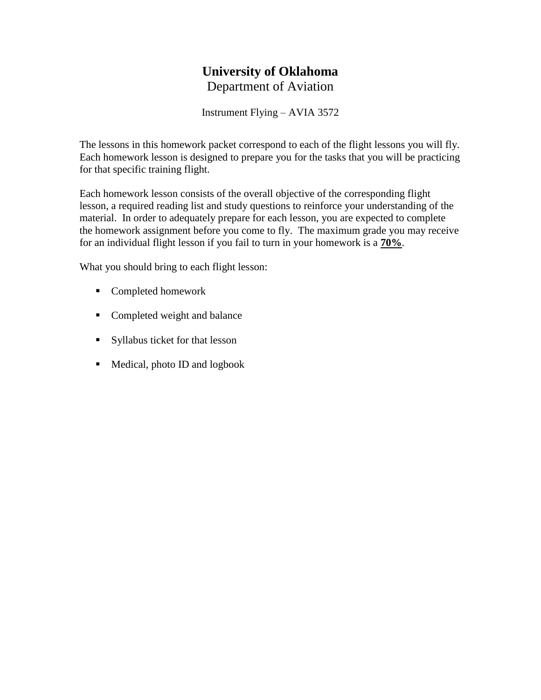# **University of Oklahoma** Department of Aviation

Instrument Flying – AVIA 3572

The lessons in this homework packet correspond to each of the flight lessons you will fly. Each homework lesson is designed to prepare you for the tasks that you will be practicing for that specific training flight.

Each homework lesson consists of the overall objective of the corresponding flight lesson, a required reading list and study questions to reinforce your understanding of the material. In order to adequately prepare for each lesson, you are expected to complete the homework assignment before you come to fly. The maximum grade you may receive for an individual flight lesson if you fail to turn in your homework is a **70%**.

What you should bring to each flight lesson:

- Completed homework
- Completed weight and balance
- Syllabus ticket for that lesson
- Medical, photo ID and logbook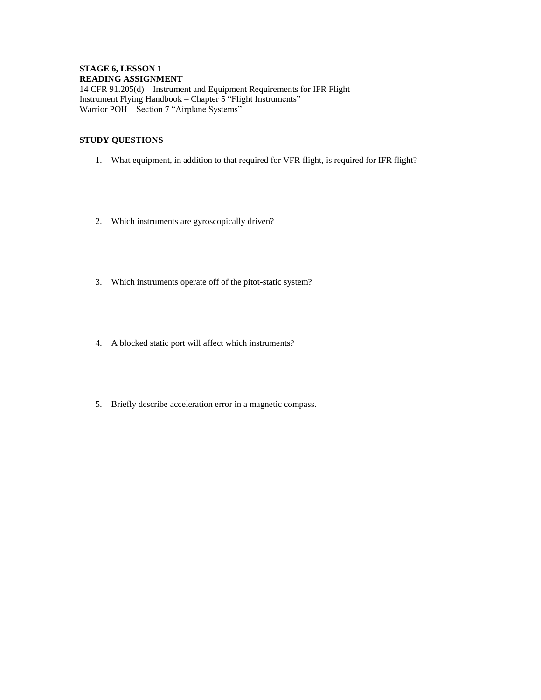#### **STAGE 6, LESSON 1 READING ASSIGNMENT**

14 CFR 91.205(d) – Instrument and Equipment Requirements for IFR Flight Instrument Flying Handbook – Chapter 5 "Flight Instruments" Warrior POH – Section 7 "Airplane Systems"

- 1. What equipment, in addition to that required for VFR flight, is required for IFR flight?
- 2. Which instruments are gyroscopically driven?
- 3. Which instruments operate off of the pitot-static system?
- 4. A blocked static port will affect which instruments?
- 5. Briefly describe acceleration error in a magnetic compass.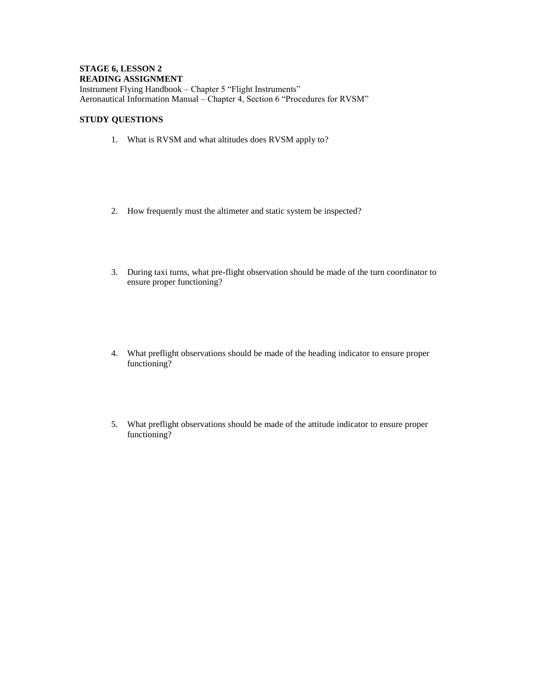## **STAGE 6, LESSON 2 READING ASSIGNMENT**

Instrument Flying Handbook – Chapter 5 "Flight Instruments" Aeronautical Information Manual – Chapter 4, Section 6 "Procedures for RVSM"

- 1. What is RVSM and what altitudes does RVSM apply to?
- 2. How frequently must the altimeter and static system be inspected?
- 3. During taxi turns, what pre-flight observation should be made of the turn coordinator to ensure proper functioning?
- 4. What preflight observations should be made of the heading indicator to ensure proper functioning?
- 5. What preflight observations should be made of the attitude indicator to ensure proper functioning?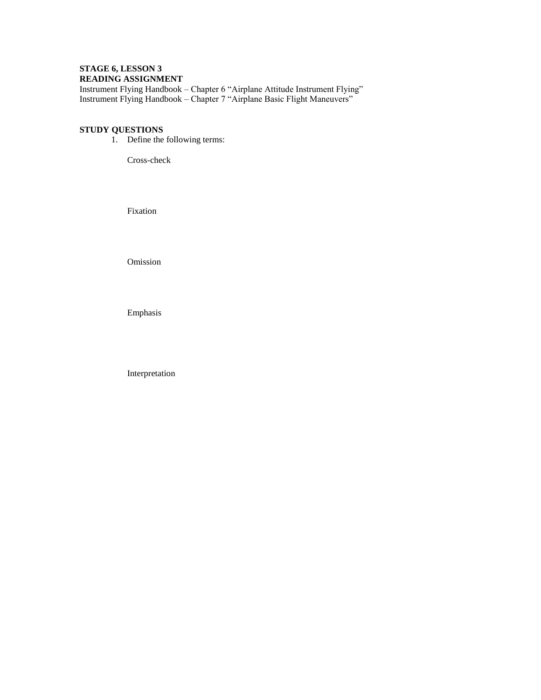## **STAGE 6, LESSON 3 READING ASSIGNMENT**

Instrument Flying Handbook – Chapter 6 "Airplane Attitude Instrument Flying" Instrument Flying Handbook – Chapter 7 "Airplane Basic Flight Maneuvers"

## **STUDY QUESTIONS**

1. Define the following terms:

Cross-check

Fixation

Omission

Emphasis

Interpretation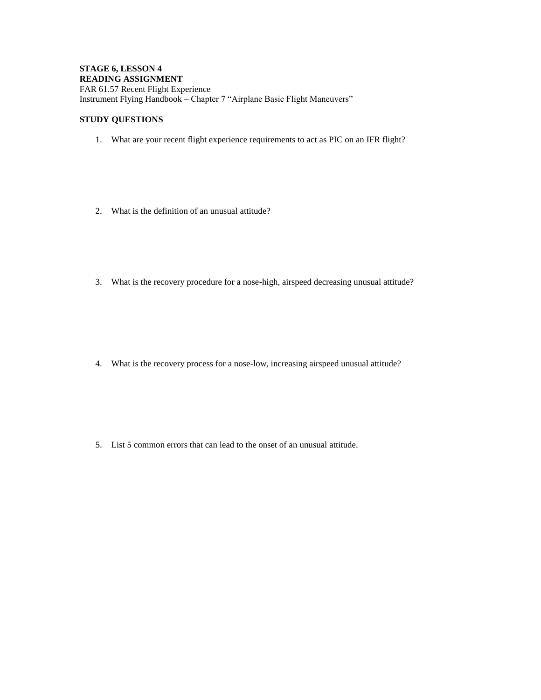#### **STAGE 6, LESSON 4 READING ASSIGNMENT** FAR 61.57 Recent Flight Experience Instrument Flying Handbook – Chapter 7 "Airplane Basic Flight Maneuvers"

#### **STUDY QUESTIONS**

- 1. What are your recent flight experience requirements to act as PIC on an IFR flight?
- 2. What is the definition of an unusual attitude?
- 3. What is the recovery procedure for a nose-high, airspeed decreasing unusual attitude?

4. What is the recovery process for a nose-low, increasing airspeed unusual attitude?

5. List 5 common errors that can lead to the onset of an unusual attitude.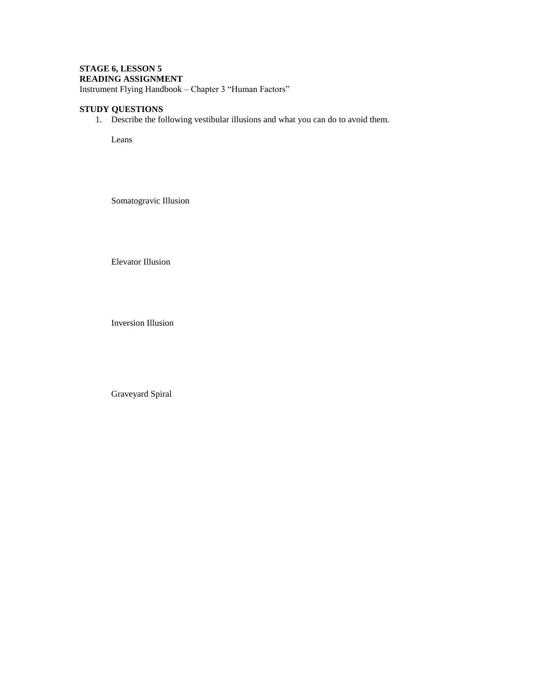# **STAGE 6, LESSON 5 READING ASSIGNMENT**

Instrument Flying Handbook – Chapter 3 "Human Factors"

## **STUDY QUESTIONS**

1. Describe the following vestibular illusions and what you can do to avoid them.

Leans

Somatogravic Illusion

Elevator Illusion

Inversion Illusion

Graveyard Spiral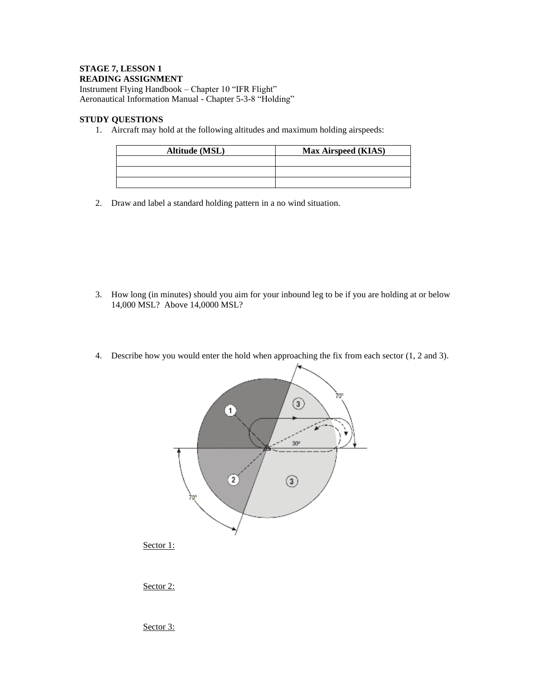## **STAGE 7, LESSON 1 READING ASSIGNMENT**

Instrument Flying Handbook – Chapter 10 "IFR Flight" Aeronautical Information Manual - Chapter 5-3-8 "Holding"

## **STUDY QUESTIONS**

1. Aircraft may hold at the following altitudes and maximum holding airspeeds:

| Altitude (MSL) | <b>Max Airspeed (KIAS)</b> |
|----------------|----------------------------|
|                |                            |
|                |                            |
|                |                            |

2. Draw and label a standard holding pattern in a no wind situation.

- 3. How long (in minutes) should you aim for your inbound leg to be if you are holding at or below 14,000 MSL? Above 14,0000 MSL?
- 4. Describe how you would enter the hold when approaching the fix from each sector (1, 2 and 3).



Sector 2:

Sector 3: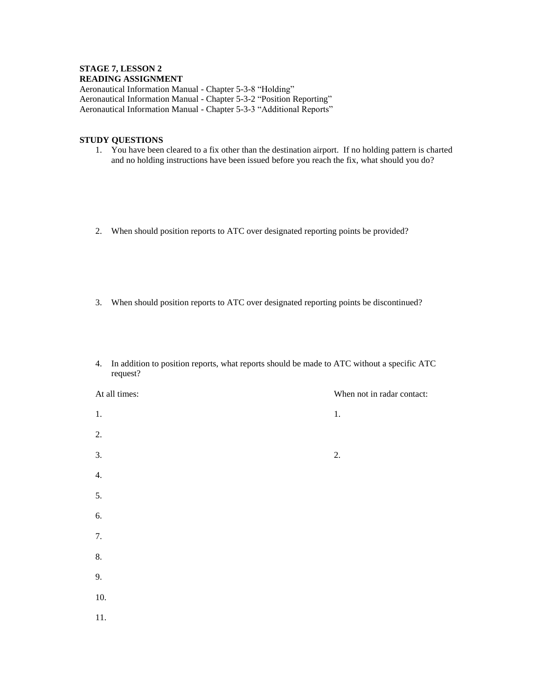## **STAGE 7, LESSON 2 READING ASSIGNMENT**

Aeronautical Information Manual - Chapter 5-3-8 "Holding" Aeronautical Information Manual - Chapter 5-3-2 "Position Reporting" Aeronautical Information Manual - Chapter 5-3-3 "Additional Reports"

- 1. You have been cleared to a fix other than the destination airport. If no holding pattern is charted and no holding instructions have been issued before you reach the fix, what should you do?
- 2. When should position reports to ATC over designated reporting points be provided?
- 3. When should position reports to ATC over designated reporting points be discontinued?
- 4. In addition to position reports, what reports should be made to ATC without a specific ATC request?

| At all times: | When not in radar contact: |
|---------------|----------------------------|
| 1.            | 1.                         |
| 2.            |                            |
| 3.            | 2.                         |
| 4.            |                            |
| 5.            |                            |
| 6.            |                            |
| 7.            |                            |
| 8.            |                            |
| 9.            |                            |
| 10.           |                            |
| 11.           |                            |
|               |                            |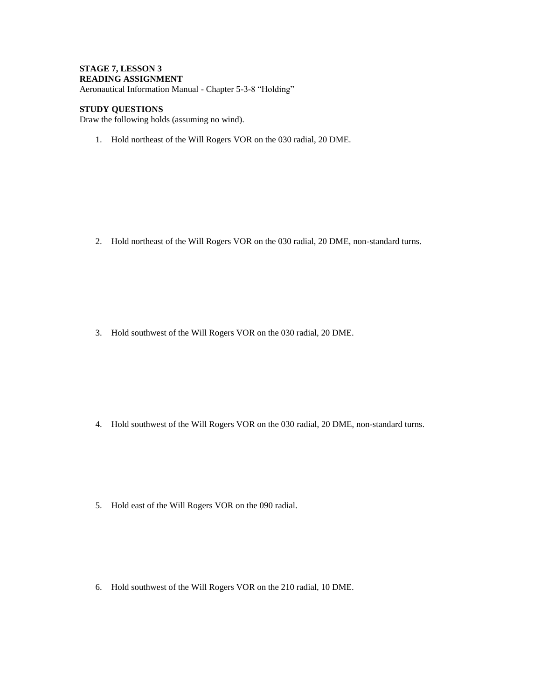## **STAGE 7, LESSON 3 READING ASSIGNMENT**

Aeronautical Information Manual - Chapter 5-3-8 "Holding"

## **STUDY QUESTIONS**

Draw the following holds (assuming no wind).

1. Hold northeast of the Will Rogers VOR on the 030 radial, 20 DME.

2. Hold northeast of the Will Rogers VOR on the 030 radial, 20 DME, non-standard turns.

3. Hold southwest of the Will Rogers VOR on the 030 radial, 20 DME.

- 4. Hold southwest of the Will Rogers VOR on the 030 radial, 20 DME, non-standard turns.
- 5. Hold east of the Will Rogers VOR on the 090 radial.

6. Hold southwest of the Will Rogers VOR on the 210 radial, 10 DME.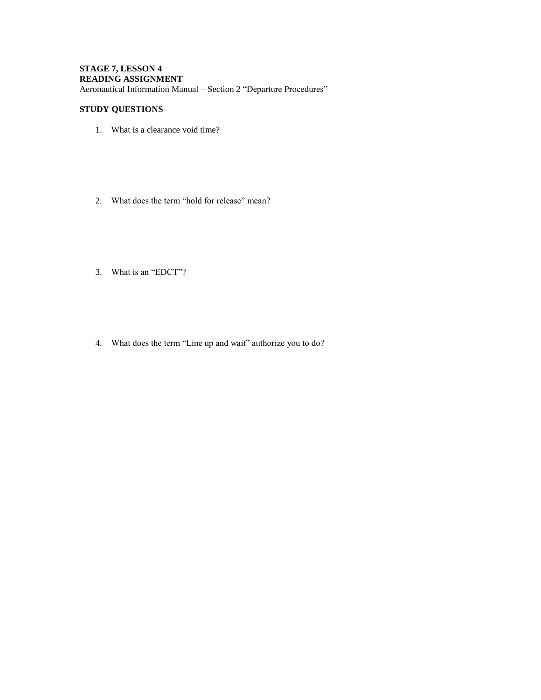## **STAGE 7, LESSON 4 READING ASSIGNMENT** Aeronautical Information Manual – Section 2 "Departure Procedures"

- 1. What is a clearance void time?
- 2. What does the term "hold for release" mean?
- 3. What is an "EDCT"?
- 4. What does the term "Line up and wait" authorize you to do?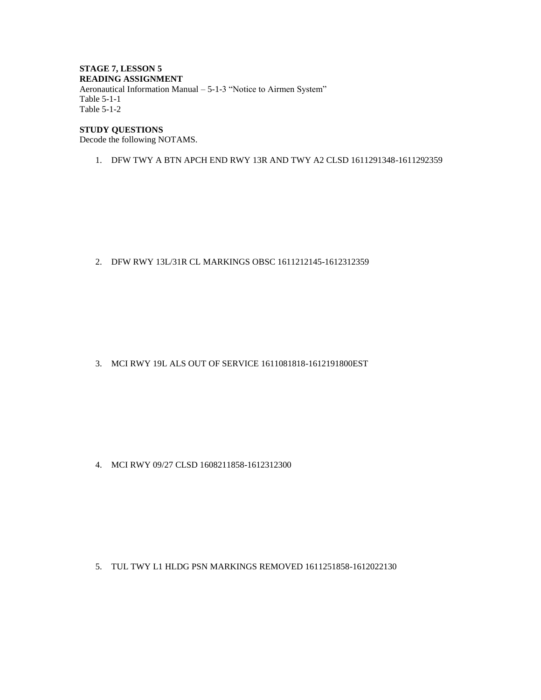#### **STAGE 7, LESSON 5 READING ASSIGNMENT** Aeronautical Information Manual – 5-1-3 "Notice to Airmen System" Table 5-1-1 Table 5-1-2

## **STUDY QUESTIONS**

Decode the following NOTAMS.

1. DFW TWY A BTN APCH END RWY 13R AND TWY A2 CLSD 1611291348-1611292359

2. DFW RWY 13L/31R CL MARKINGS OBSC 1611212145-1612312359

3. MCI RWY 19L ALS OUT OF SERVICE 1611081818-1612191800EST

4. MCI RWY 09/27 CLSD 1608211858-1612312300

5. TUL TWY L1 HLDG PSN MARKINGS REMOVED 1611251858-1612022130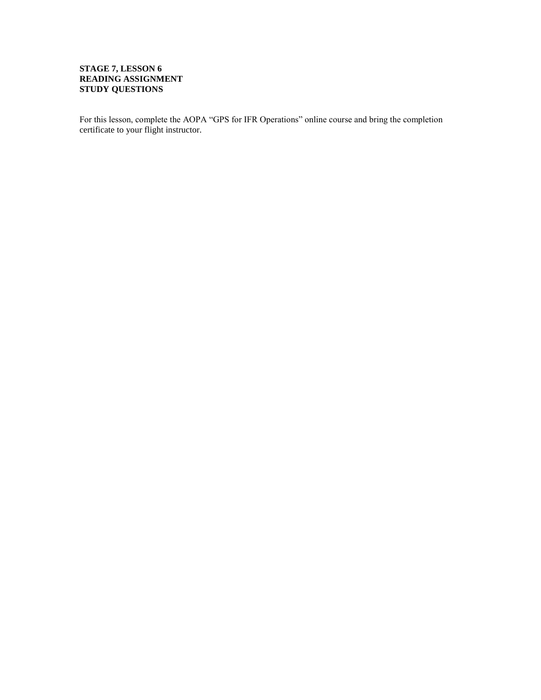## **STAGE 7, LESSON 6 READING ASSIGNMENT STUDY QUESTIONS**

For this lesson, complete the AOPA "GPS for IFR Operations" online course and bring the completion certificate to your flight instructor.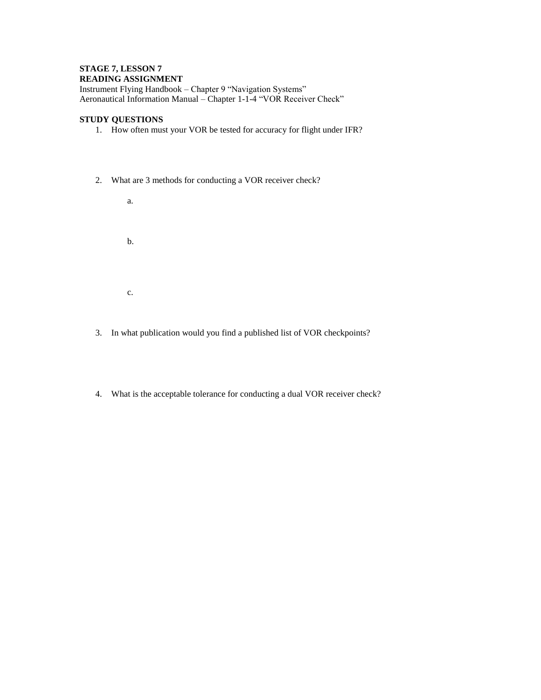#### **STAGE 7, LESSON 7 READING ASSIGNMENT**

Instrument Flying Handbook – Chapter 9 "Navigation Systems" Aeronautical Information Manual – Chapter 1-1-4 "VOR Receiver Check"

## **STUDY QUESTIONS**

- 1. How often must your VOR be tested for accuracy for flight under IFR?
- 2. What are 3 methods for conducting a VOR receiver check?

a. b. c.

- 3. In what publication would you find a published list of VOR checkpoints?
- 4. What is the acceptable tolerance for conducting a dual VOR receiver check?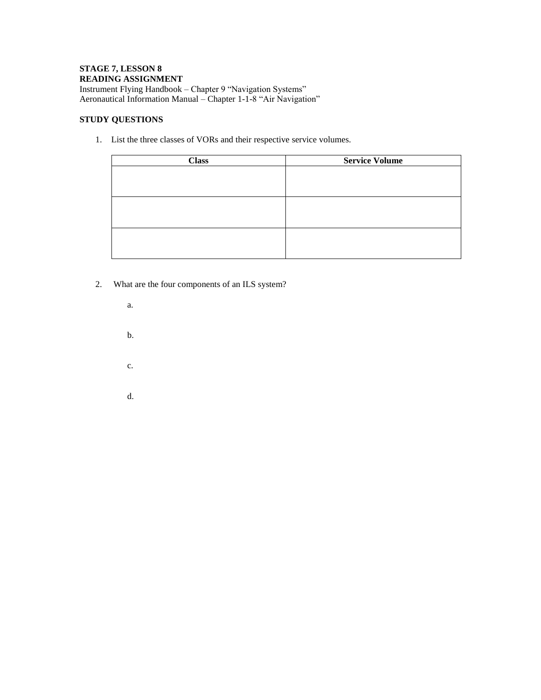# **STAGE 7, LESSON 8 READING ASSIGNMENT**

Instrument Flying Handbook – Chapter 9 "Navigation Systems" Aeronautical Information Manual – Chapter 1-1-8 "Air Navigation"

## **STUDY QUESTIONS**

1. List the three classes of VORs and their respective service volumes.

| <b>Class</b> | <b>Service Volume</b> |
|--------------|-----------------------|
|              |                       |
|              |                       |
|              |                       |
|              |                       |
|              |                       |
|              |                       |
|              |                       |
|              |                       |

- 2. What are the four components of an ILS system?
	- a. b. c.
	- d.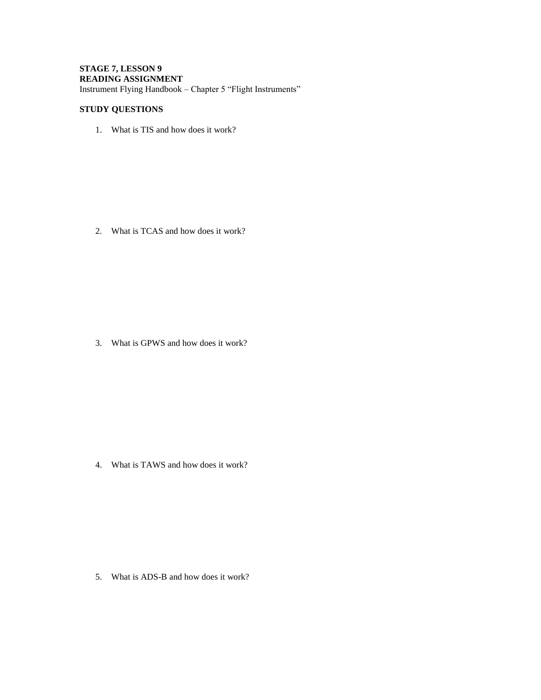## **STAGE 7, LESSON 9 READING ASSIGNMENT** Instrument Flying Handbook – Chapter 5 "Flight Instruments"

## **STUDY QUESTIONS**

1. What is TIS and how does it work?

2. What is TCAS and how does it work?

3. What is GPWS and how does it work?

4. What is TAWS and how does it work?

5. What is ADS-B and how does it work?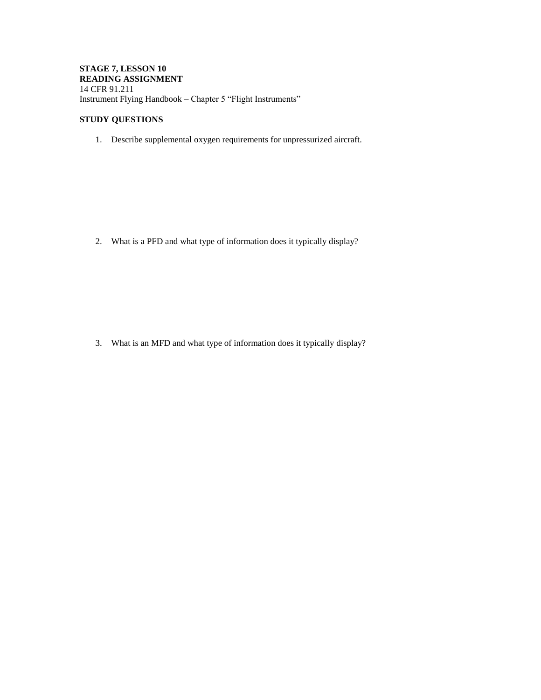### **STAGE 7, LESSON 10 READING ASSIGNMENT** 14 CFR 91.211 Instrument Flying Handbook – Chapter 5 "Flight Instruments"

## **STUDY QUESTIONS**

1. Describe supplemental oxygen requirements for unpressurized aircraft.

2. What is a PFD and what type of information does it typically display?

3. What is an MFD and what type of information does it typically display?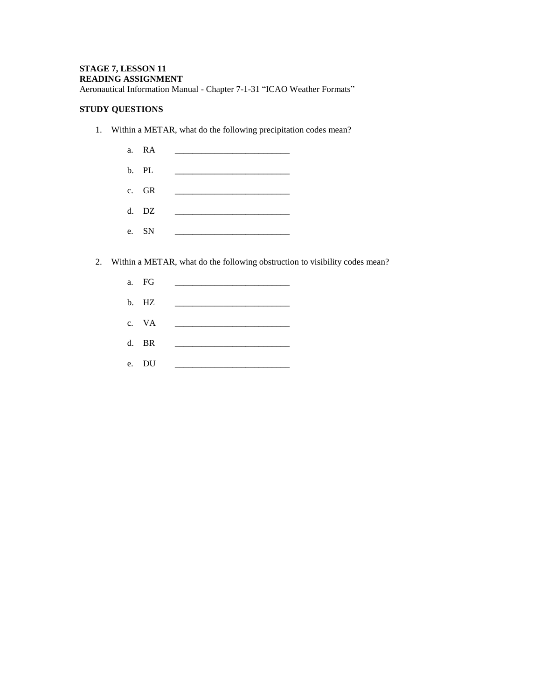## **STAGE 7, LESSON 11 READING ASSIGNMENT**

Aeronautical Information Manual - Chapter 7-1-31 "ICAO Weather Formats"

## **STUDY QUESTIONS**

1. Within a METAR, what do the following precipitation codes mean?

|    | a. RA |  |
|----|-------|--|
|    | b. PL |  |
|    | c. GR |  |
|    | d. DZ |  |
| e. | SN    |  |

- 2. Within a METAR, what do the following obstruction to visibility codes mean?
	- a. FG \_\_\_\_\_\_\_\_\_\_\_\_\_\_\_\_\_\_\_\_\_\_\_\_\_\_ b. HZ c. VA d. BR \_\_\_\_\_\_\_\_\_\_\_\_\_\_\_\_\_\_\_\_\_\_\_\_\_\_ e. DU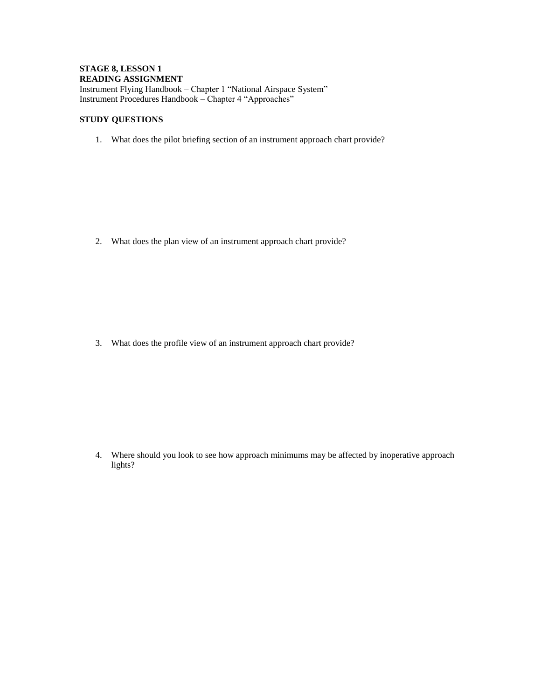## **STAGE 8, LESSON 1 READING ASSIGNMENT** Instrument Flying Handbook – Chapter 1 "National Airspace System" Instrument Procedures Handbook – Chapter 4 "Approaches"

## **STUDY QUESTIONS**

1. What does the pilot briefing section of an instrument approach chart provide?

2. What does the plan view of an instrument approach chart provide?

3. What does the profile view of an instrument approach chart provide?

4. Where should you look to see how approach minimums may be affected by inoperative approach lights?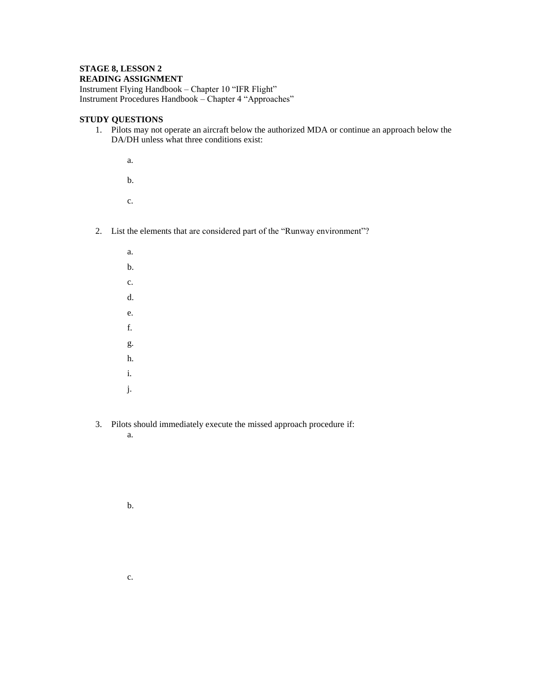#### **STAGE 8, LESSON 2 READING ASSIGNMENT**

Instrument Flying Handbook – Chapter 10 "IFR Flight" Instrument Procedures Handbook – Chapter 4 "Approaches"

## **STUDY QUESTIONS**

1. Pilots may not operate an aircraft below the authorized MDA or continue an approach below the DA/DH unless what three conditions exist:

a.

b.

c.

- 2. List the elements that are considered part of the "Runway environment"?
	- a. b. c. d. e. f. g. h. i. j.
- 3. Pilots should immediately execute the missed approach procedure if:
	- a.

b.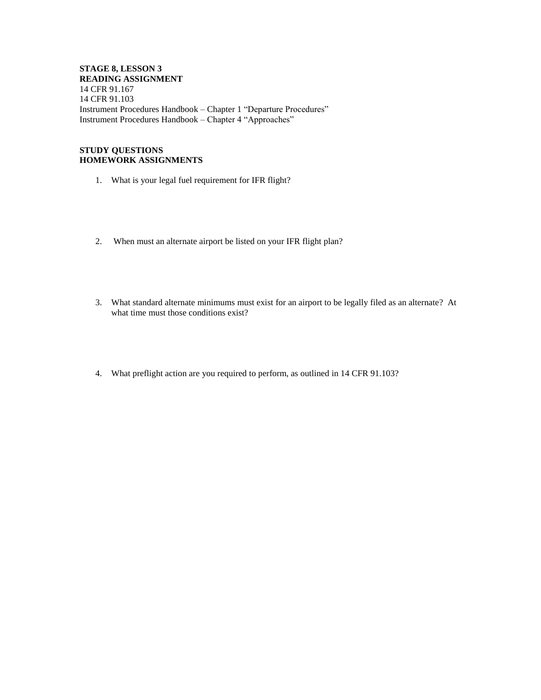**STAGE 8, LESSON 3 READING ASSIGNMENT** 14 CFR 91.167 14 CFR 91.103 Instrument Procedures Handbook – Chapter 1 "Departure Procedures" Instrument Procedures Handbook – Chapter 4 "Approaches"

### **STUDY QUESTIONS HOMEWORK ASSIGNMENTS**

- 1. What is your legal fuel requirement for IFR flight?
- 2. When must an alternate airport be listed on your IFR flight plan?
- 3. What standard alternate minimums must exist for an airport to be legally filed as an alternate? At what time must those conditions exist?
- 4. What preflight action are you required to perform, as outlined in 14 CFR 91.103?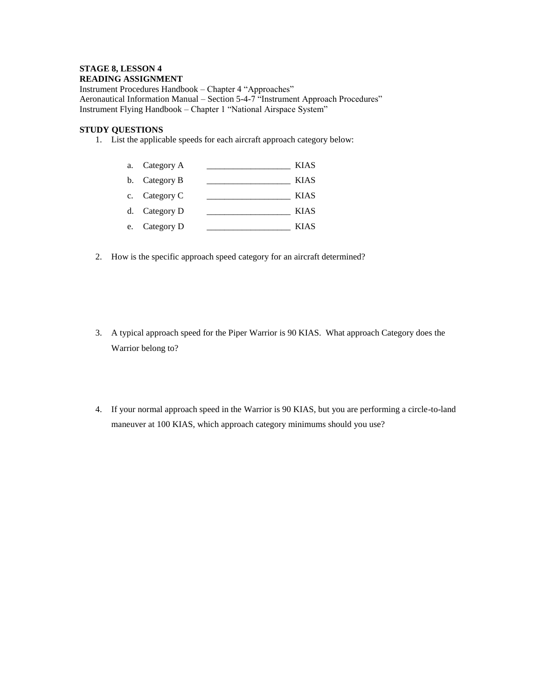#### **STAGE 8, LESSON 4 READING ASSIGNMENT**

Instrument Procedures Handbook – Chapter 4 "Approaches" Aeronautical Information Manual – Section 5-4-7 "Instrument Approach Procedures" Instrument Flying Handbook – Chapter 1 "National Airspace System"

## **STUDY QUESTIONS**

1. List the applicable speeds for each aircraft approach category below:

| a. Category A | <b>KIAS</b> |
|---------------|-------------|
| b. Category B | <b>KIAS</b> |
| c. Category C | <b>KIAS</b> |
| d. Category D | <b>KIAS</b> |

- e. Category D \_\_\_\_\_\_\_\_\_\_\_\_\_\_\_\_\_\_\_ KIAS
- 2. How is the specific approach speed category for an aircraft determined?
- 3. A typical approach speed for the Piper Warrior is 90 KIAS. What approach Category does the Warrior belong to?
- 4. If your normal approach speed in the Warrior is 90 KIAS, but you are performing a circle-to-land maneuver at 100 KIAS, which approach category minimums should you use?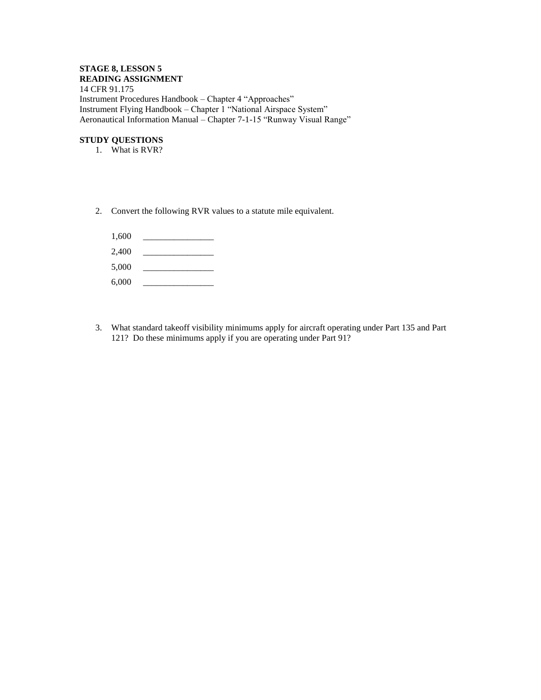#### **STAGE 8, LESSON 5 READING ASSIGNMENT**

14 CFR 91.175 Instrument Procedures Handbook – Chapter 4 "Approaches" Instrument Flying Handbook – Chapter 1 "National Airspace System" Aeronautical Information Manual – Chapter 7-1-15 "Runway Visual Range"

- 1. What is RVR?
- 2. Convert the following RVR values to a statute mile equivalent.
	- 1,600 \_\_\_\_\_\_\_\_\_\_\_\_\_\_\_\_ 2,400 \_\_\_\_\_\_\_\_\_\_\_\_\_\_\_\_
	- 5,000 \_\_\_\_\_\_\_\_\_\_\_\_\_\_\_\_
	- 6,000 \_\_\_\_\_\_\_\_\_\_\_\_\_\_\_\_
- 3. What standard takeoff visibility minimums apply for aircraft operating under Part 135 and Part 121? Do these minimums apply if you are operating under Part 91?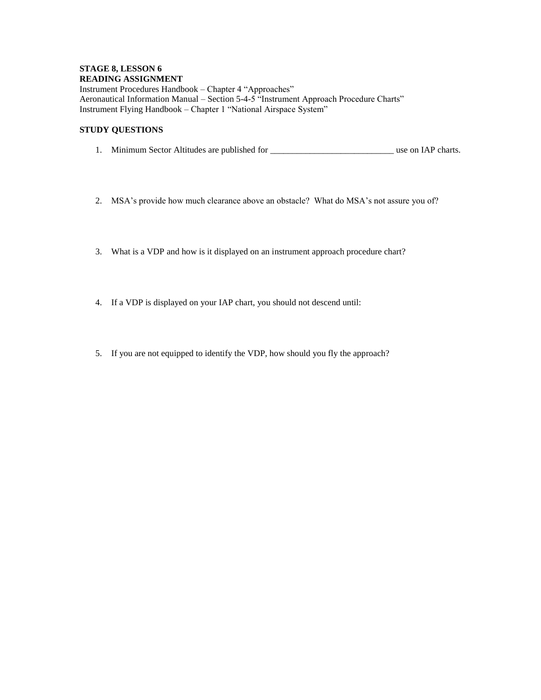#### **STAGE 8, LESSON 6 READING ASSIGNMENT**

Instrument Procedures Handbook – Chapter 4 "Approaches" Aeronautical Information Manual – Section 5-4-5 "Instrument Approach Procedure Charts" Instrument Flying Handbook – Chapter 1 "National Airspace System"

- 1. Minimum Sector Altitudes are published for \_\_\_\_\_\_\_\_\_\_\_\_\_\_\_\_\_\_\_\_\_\_\_\_\_\_\_\_ use on IAP charts.
- 2. MSA's provide how much clearance above an obstacle? What do MSA's not assure you of?
- 3. What is a VDP and how is it displayed on an instrument approach procedure chart?
- 4. If a VDP is displayed on your IAP chart, you should not descend until:
- 5. If you are not equipped to identify the VDP, how should you fly the approach?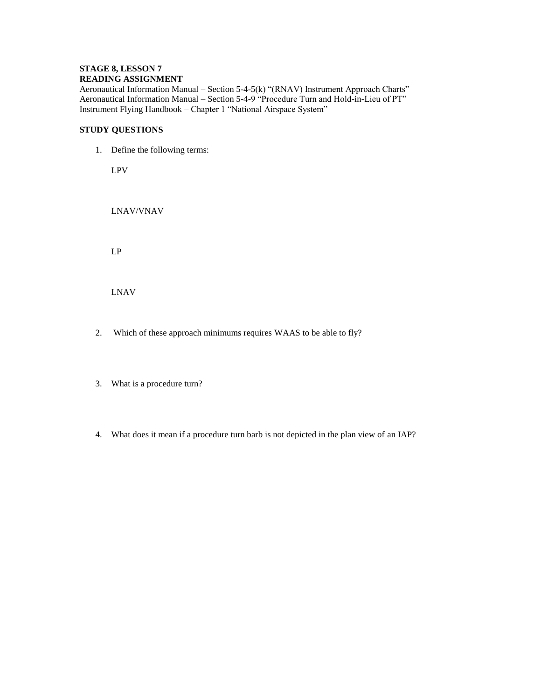## **STAGE 8, LESSON 7 READING ASSIGNMENT**

Aeronautical Information Manual – Section 5-4-5(k) "(RNAV) Instrument Approach Charts" Aeronautical Information Manual – Section 5-4-9 "Procedure Turn and Hold-in-Lieu of PT" Instrument Flying Handbook – Chapter 1 "National Airspace System"

## **STUDY QUESTIONS**

1. Define the following terms:

LPV

LNAV/VNAV

LP

LNAV

- 2. Which of these approach minimums requires WAAS to be able to fly?
- 3. What is a procedure turn?
- 4. What does it mean if a procedure turn barb is not depicted in the plan view of an IAP?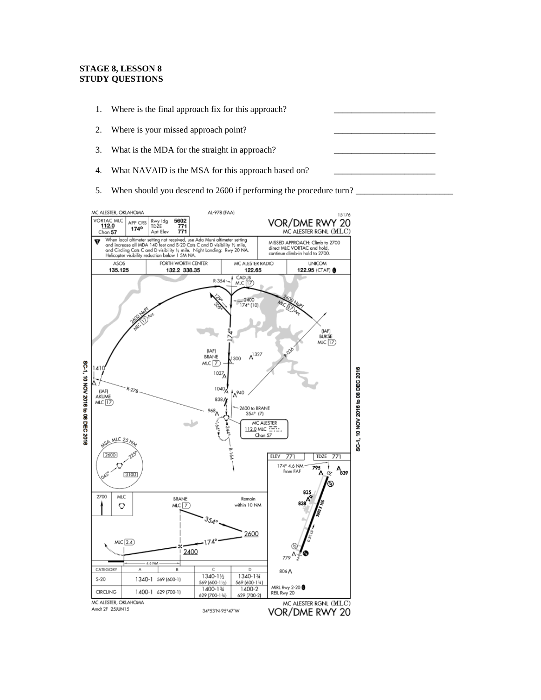## **STAGE 8, LESSON 8 STUDY QUESTIONS**

- 1. Where is the final approach fix for this approach?
- 2. Where is your missed approach point?
- 3. What is the MDA for the straight in approach?
- 4. What NAVAID is the MSA for this approach based on?
- 5. When should you descend to 2600 if performing the procedure turn?

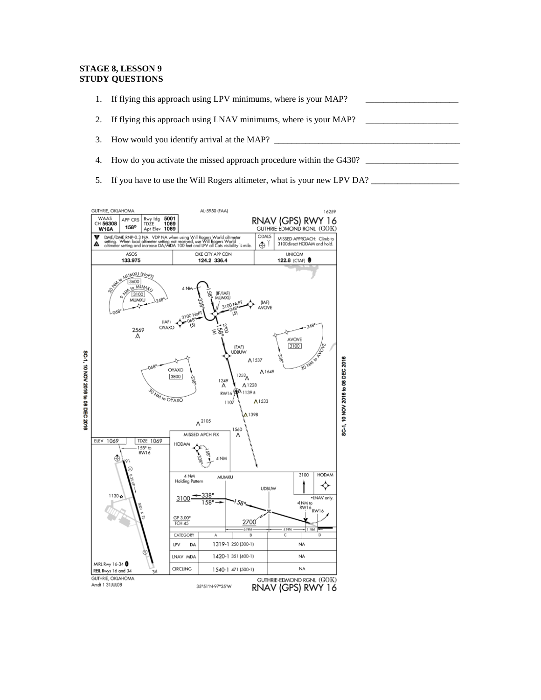#### **STAGE 8, LESSON 9 STUDY QUESTIONS**

- 1. If flying this approach using LPV minimums, where is your MAP? 2. If flying this approach using LNAV minimums, where is your MAP?
- 3. How would you identify arrival at the MAP?
- 4. How do you activate the missed approach procedure within the G430?
- 5. If you have to use the Will Rogers altimeter, what is your new LPV DA? \_\_\_\_\_\_\_\_\_\_\_\_\_\_\_\_\_\_\_\_

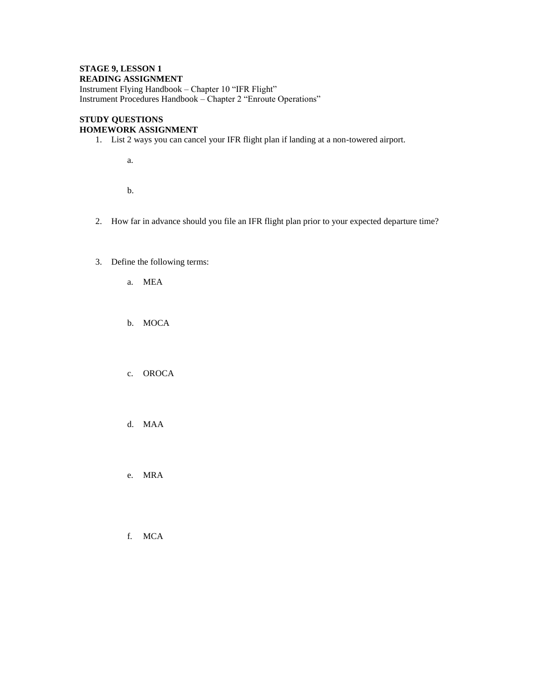### **STAGE 9, LESSON 1 READING ASSIGNMENT**

Instrument Flying Handbook – Chapter 10 "IFR Flight" Instrument Procedures Handbook – Chapter 2 "Enroute Operations"

### **STUDY QUESTIONS HOMEWORK ASSIGNMENT**

1. List 2 ways you can cancel your IFR flight plan if landing at a non-towered airport.

a.

b.

- 2. How far in advance should you file an IFR flight plan prior to your expected departure time?
- 3. Define the following terms:
	- a. MEA
	- b. MOCA
	- c. OROCA
	- d. MAA

e. MRA

f. MCA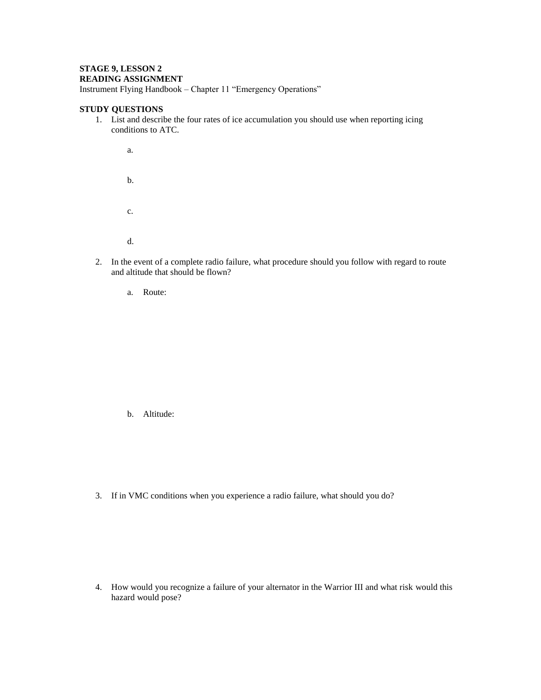## **STAGE 9, LESSON 2 READING ASSIGNMENT**

Instrument Flying Handbook – Chapter 11 "Emergency Operations"

## **STUDY QUESTIONS**

1. List and describe the four rates of ice accumulation you should use when reporting icing conditions to ATC.

a. b. c. d.

- 2. In the event of a complete radio failure, what procedure should you follow with regard to route and altitude that should be flown?
	- a. Route:

b. Altitude:

3. If in VMC conditions when you experience a radio failure, what should you do?

4. How would you recognize a failure of your alternator in the Warrior III and what risk would this hazard would pose?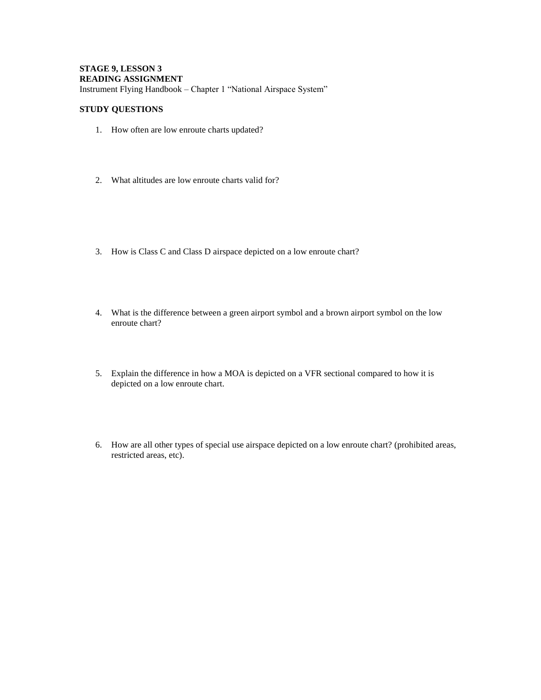## **STAGE 9, LESSON 3 READING ASSIGNMENT** Instrument Flying Handbook – Chapter 1 "National Airspace System"

- 1. How often are low enroute charts updated?
- 2. What altitudes are low enroute charts valid for?
- 3. How is Class C and Class D airspace depicted on a low enroute chart?
- 4. What is the difference between a green airport symbol and a brown airport symbol on the low enroute chart?
- 5. Explain the difference in how a MOA is depicted on a VFR sectional compared to how it is depicted on a low enroute chart.
- 6. How are all other types of special use airspace depicted on a low enroute chart? (prohibited areas, restricted areas, etc).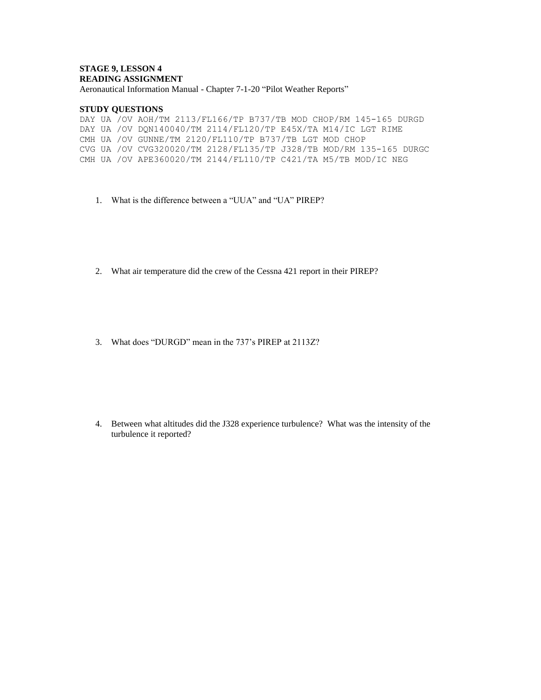## **STAGE 9, LESSON 4 READING ASSIGNMENT**

Aeronautical Information Manual - Chapter 7-1-20 "Pilot Weather Reports"

#### **STUDY QUESTIONS**

DAY UA /OV AOH/TM 2113/FL166/TP B737/TB MOD CHOP/RM 145-165 DURGD DAY UA /OV DQN140040/TM 2114/FL120/TP E45X/TA M14/IC LGT RIME CMH UA /OV GUNNE/TM 2120/FL110/TP B737/TB LGT MOD CHOP CVG UA /OV CVG320020/TM 2128/FL135/TP J328/TB MOD/RM 135-165 DURGC CMH UA /OV APE360020/TM 2144/FL110/TP C421/TA M5/TB MOD/IC NEG

- 1. What is the difference between a "UUA" and "UA" PIREP?
- 2. What air temperature did the crew of the Cessna 421 report in their PIREP?
- 3. What does "DURGD" mean in the 737's PIREP at 2113Z?

4. Between what altitudes did the J328 experience turbulence? What was the intensity of the turbulence it reported?